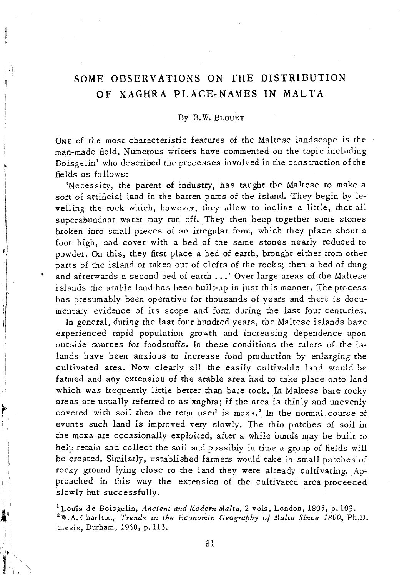## SOME OBSERVATIONS ON THE DISTRIBUTION OF XAGHRA PLACE-NAMES IN MALTA

## By B. W. BLOUET

ONE of the most characteristic features of the Maltese landscape is the man-made field. Numerous writers have commented on the topic including Boisgelin<sup> $1$ </sup> who described the processes involved in the construction of the fields as follows:

'Necessity, the parent of industry, has taught the Maltese to make a sort of artificial land in the barren parts of the island. They begin by levelling the rock which, however, they allow to incline a little, that all superabundant water may run off. They then heap together some stones broken into small pieces of an irregular form, which they place about a foot high, and cover with a bed of the same stones nearly reduced to powder. On *this,* they first place a bed of earth, brought either from other parts of the island or taken out of clefts of the rocks; then a bed of dung and afterwards a second bed of earth ...' Over large areas of the Maltese islands the arable land has been built-up in just this manner. The process has presumably been operative for thousands of years and there is documentary evidence of its scope and form during the last four centuries.

In general, during the last four hundred years, the Maltese islands have experienced rapid population growth and increasing dependence upon outside sources for foodstuffs. In these conditions the rulers of the islands have been anxious to increase food production by enlarging the cultivated area. Now clearly all the easily cultivable land would be farmed and any extension of the arable area had to take place onto land which was frequently little better than bare rock. In Maltese bare rocky areas are usually referred to as 'xaghra; if the area *is* thinly and unevenly covered with soil then the term used is moxa,<sup>2</sup> In the normal course of events such land *is* improved very slowly. The thin patches of soil in the moxa are occasionally exploited; after a while bunds may be built to help retain and collect the soil and possibly in time a group of fields will be created. Similarly, established farmers would take in small patches of rocky ground lying close to the land they were already cultivating. Approached in this way the extension of the cultivated area proceeded slowly but successfully.

t

1 Lou'is de Boisgelin, *Ancient and Modern Malta,* 2 vols, London, 1805, p. 103. <sup>2</sup>W.A. Charlton, *Trends in the Economic Geography of Malta Since 1800*, Ph.D. thesis, Durham, 1960, p.113.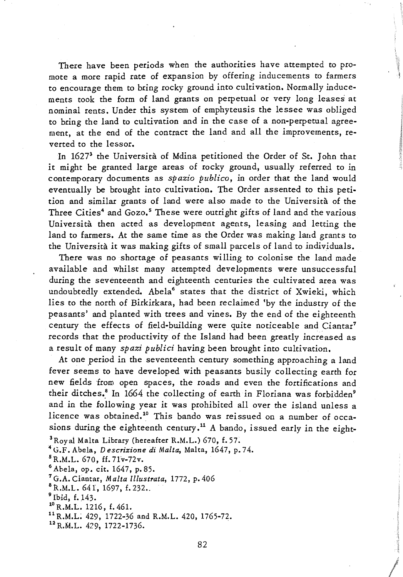There have been periods when the authorities have attempted to promote a more rapid rate of expansion by offering inducements to farmers to encourage them to bring rocky ground into cultivation. Normally inducements took the form of land grants on perpetual or very long leases at nominal rents. Under *this* system of emphyteusis the lessee was obliged to bring the land to cultivation and in the case of a non-perpetual agreement, at the end of the contract the land and all the improvements, reverted to the lessor.

In 16273 the Universita of Mdina petitioned the Order of St. John that it might be granted large areas of rocky ground, usually referred to in contemporary documents as *spazio publico,* in order that the land would eventually be brought into cultivation. The Order assented to this petition and similar grants of land were also made to the Universita of the Three Cities<sup>4</sup> and Gozo.<sup>5</sup> These were outright gifts of land and the various Universita then acted as development agents, leasing and letting the land to farmers. At the same time as the Order was making land grants to the Universita it was making gifts of small parcels of land to individuals.

There was no shortage of peasants willing to colonise the land made available and whilst many attempted developments were unsuccessful during the seventeenth and eighteenth centuries the cultivated area was undoubtedly extended. Abela<sup>6</sup> states that the district of Xwieki, which lies to the north of Birkirkara, had been reclaimed 'by the industry of the peasants' and planted with trees and vines. By the end of the eighteenth century the effects of field-building were quite noticeable and Ciantar<sup>7</sup> records that the productivity of the Island had been greatly increased as a result of many *spazi publici* having been brought into cultivation.

At one period in the seventeenth century something approaching a land fever seems to have developed with peasants busily collecting earth for new fields from open spaces, the roads and even the fortifications and their ditches.<sup>8</sup> In 1664 the collecting of earth in Floriana was forbidden<sup>9</sup> and in the following year *it* was prohibited all over the island unless a licence was obtained.<sup>10</sup> This bando was reissued on a number of occasions during the eighteenth century.<sup>11</sup> A bando, issued early in the eight-

<sup>3</sup> Royal Malta Library (hereafter R.M.L.) 670, f. 57.

<sup>4</sup> G.F. Abela, *Descrizione di Malta*, Malta, 1647, p. 74.

 $5R.M.L. 670, ff. 71v-72v.$ 

6 Abela, op. cit. 1647, p. 85.

<sup>7</sup>G.A. Ciantar, *Malta Illustrata*, 1772, p. 406

 $B$ R.M.L. 641, 1697, f. 232.

 $9$  Ibid, f. 143.

<sup>10</sup> R.M.L. 1216, f. 461.

11 R.M.L. 429. 1722-36 and R.M.L. 420, 1765-72.

 $12$  R.M.L. 429, 1722-1736.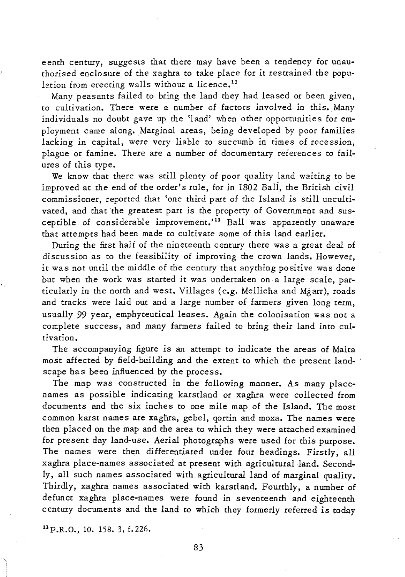eenth century, suggests that there may have been a tendency for unauthorised enclosure of the xagnra to take place for *it* restrained the population from erecting walls without a licence.<sup>12</sup>

Many peasants failed to bring the land they had leased or been given, to cultivation. There were a number of factors involved in *this.* Many individuals no doubt gave up the 'land' when other opportunities for employment came along. Marginal areas, being developed by poor families lacking in capital, were very liable to succumb *in* times of recession, plague or famine. There are a number of documentary reierences to failures of *this* type.

We know that there was *still* plenty of poor quality land waiting to be improved at the end of the order's rule, for in 1802 Bali, the British civil commissioner, reported that 'one third part of the Island *is still* uncultivated, and that the greatest part *is* the property of Government and susceptible of considerable improvement.'13 Ball was apparently unaware that attempts had been made to cultivate some of *this* land earlier.

During the first half of the nineteenth century there was a great deal of discussion as to the feasibility of improving the crown lands. However, *it* was not until the middle of the century that anything positive was done but when the work was started *it* was undertaken on a large scale, particularly in the north and west. Villages (e.g. Mellieha and Mgarr), roads and tracks were laid out and a large number of farmers given long term, usually 99 year, emphyteutical leases. Again the colonisation was not a complete success, and many farmers failed to bring their land into cultivation.

The accompanying figure *is* an attempt to indicate the areas of Malta most affected by field-building and the extent to which the present landscape has been influenced by the process.

The map was constructed in the following manner. As many placenames as possible indicating karstland or xaghra were collected from documents and the *six* inches to one mile map of the Island. The most common karst names are xaghra, gebel, qortin and moxa. The names were then placed on the map and the area to which they were attached examined for present day land-use. Aerial photographs were used for *this* purpose. The names were then differentiated under four headings. Firstly, all xaghra place-names associated at present with agricultural land. Secondly, all such names associated *with* agricultural land of marginal quality. Thirdly, xaghra names associated with karstland. Fourthly, a number of defunct xaghra place-names were found in seventeenth and eighteenth century documents and the land to which they formerly referred *is* today

 $^{13}$  P.R.O., 10. 158. 3, f. 226.